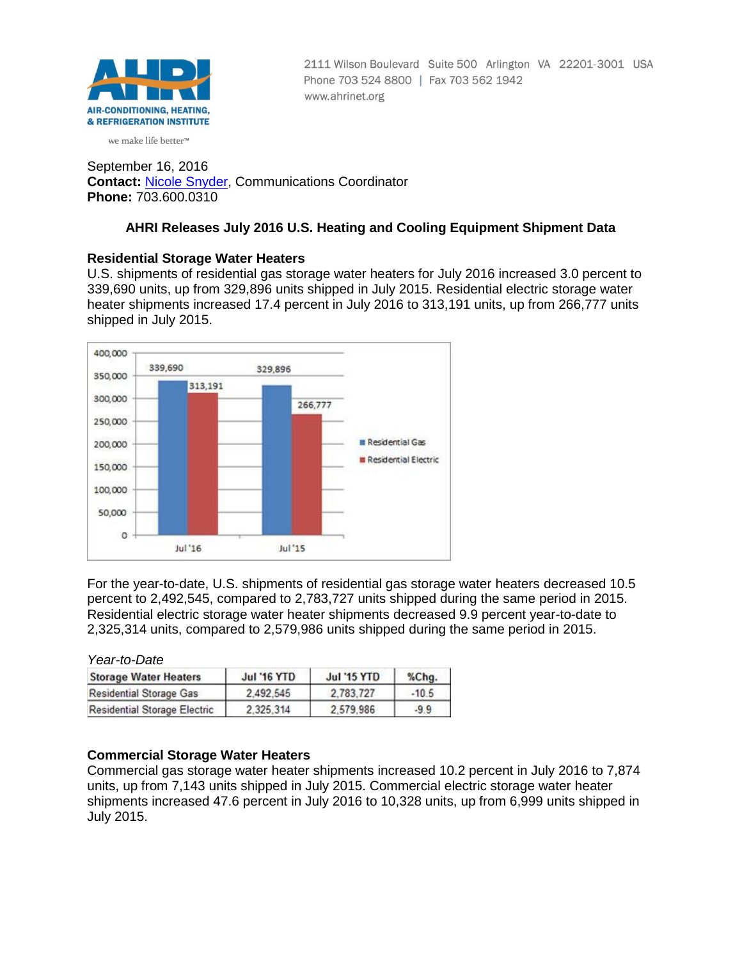

2111 Wilson Boulevard Suite 500 Arlington VA 22201-3001 USA Phone 703 524 8800 | Fax 703 562 1942 www.ahrinet.org

we make life better<sup>™</sup>

September 16, 2016 **Contact:** [Nicole Snyder,](mailto:nsnyder@ahrinet.org) Communications Coordinator **Phone:** 703.600.0310

# **AHRI Releases July 2016 U.S. Heating and Cooling Equipment Shipment Data**

# **Residential Storage Water Heaters**

U.S. shipments of residential gas storage water heaters for July 2016 increased 3.0 percent to 339,690 units, up from 329,896 units shipped in July 2015. Residential electric storage water heater shipments increased 17.4 percent in July 2016 to 313,191 units, up from 266,777 units shipped in July 2015.



For the year-to-date, U.S. shipments of residential gas storage water heaters decreased 10.5 percent to 2,492,545, compared to 2,783,727 units shipped during the same period in 2015. Residential electric storage water heater shipments decreased 9.9 percent year-to-date to 2,325,314 units, compared to 2,579,986 units shipped during the same period in 2015.

*Year-to-Date*

| <b>Storage Water Heaters</b>        | <b>Jul '16 YTD</b> | <b>Jul '15 YTD</b> | %Chg.   |
|-------------------------------------|--------------------|--------------------|---------|
| <b>Residential Storage Gas</b>      | 2.492.545          | 2.783.727          | $-10.5$ |
| <b>Residential Storage Electric</b> | 2.325.314          | 2.579.986          | $-9.9$  |

# **Commercial Storage Water Heaters**

Commercial gas storage water heater shipments increased 10.2 percent in July 2016 to 7,874 units, up from 7,143 units shipped in July 2015. Commercial electric storage water heater shipments increased 47.6 percent in July 2016 to 10,328 units, up from 6,999 units shipped in July 2015.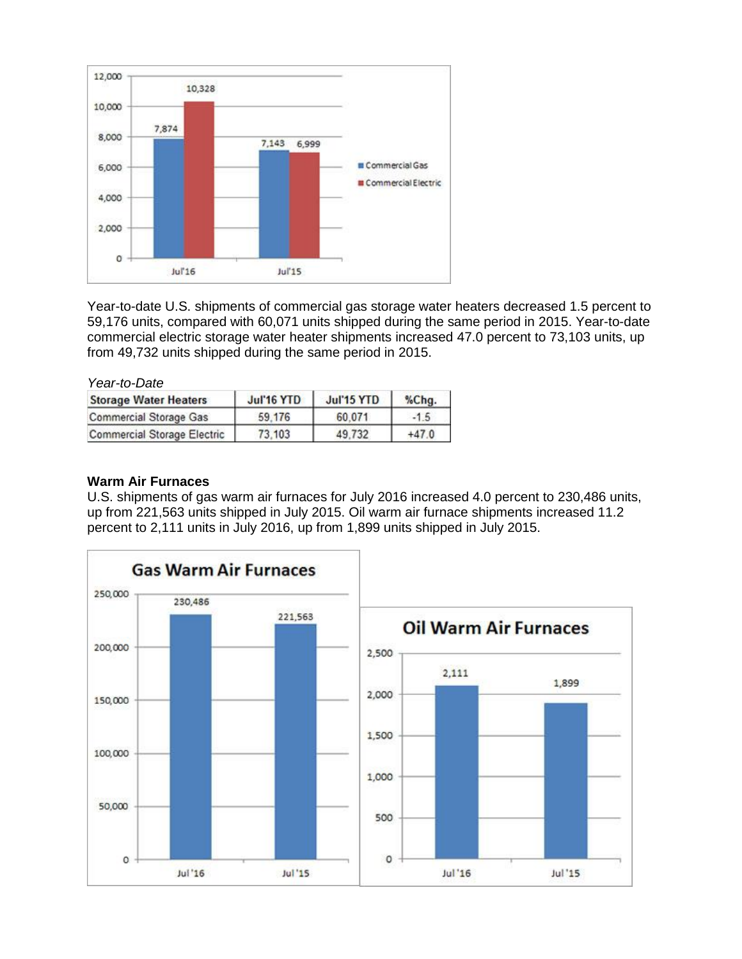

Year-to-date U.S. shipments of commercial gas storage water heaters decreased 1.5 percent to 59,176 units, compared with 60,071 units shipped during the same period in 2015. Year-to-date commercial electric storage water heater shipments increased 47.0 percent to 73,103 units, up from 49,732 units shipped during the same period in 2015.

| Year-to-Date                       |            |            |         |  |
|------------------------------------|------------|------------|---------|--|
| <b>Storage Water Heaters</b>       | Jul'16 YTD | Jul'15 YTD | %Chq    |  |
| <b>Commercial Storage Gas</b>      | 59.176     | 60.071     | $-1.5$  |  |
| <b>Commercial Storage Electric</b> | 73.103     | 49.732     | $+47.0$ |  |

### **Warm Air Furnaces**

U.S. shipments of gas warm air furnaces for July 2016 increased 4.0 percent to 230,486 units, up from 221,563 units shipped in July 2015. Oil warm air furnace shipments increased 11.2 percent to 2,111 units in July 2016, up from 1,899 units shipped in July 2015.

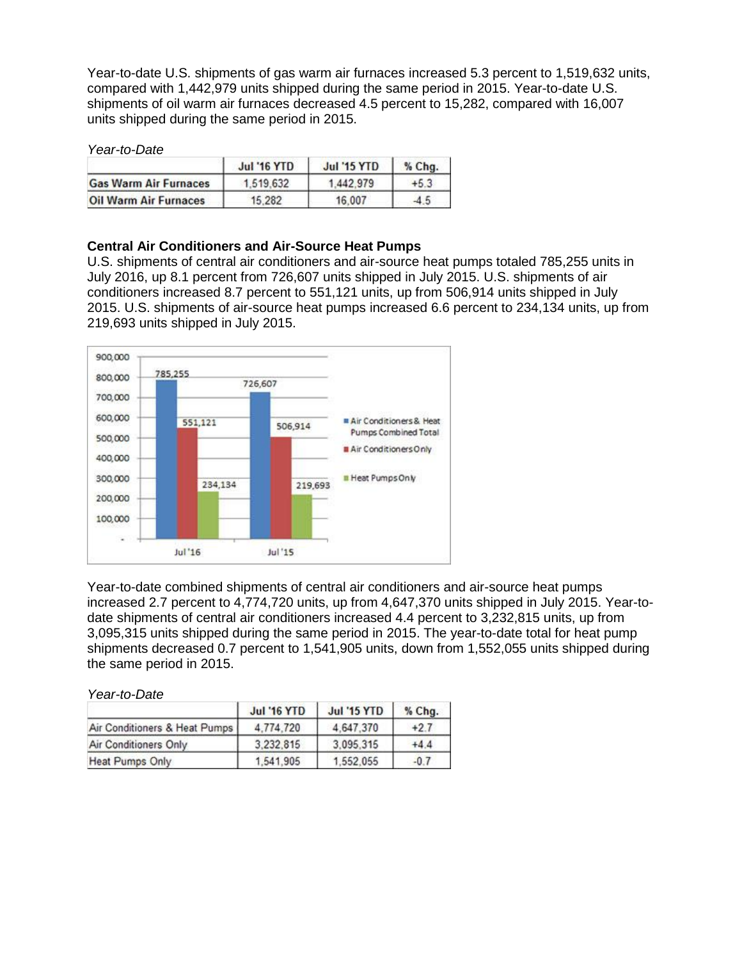Year-to-date U.S. shipments of gas warm air furnaces increased 5.3 percent to 1,519,632 units, compared with 1,442,979 units shipped during the same period in 2015. Year-to-date U.S. shipments of oil warm air furnaces decreased 4.5 percent to 15,282, compared with 16,007 units shipped during the same period in 2015.

#### *Year-to-Date*

|                              | <b>Jul '16 YTD</b> | <b>Jul '15 YTD</b> | $%$ Chg. |  |
|------------------------------|--------------------|--------------------|----------|--|
| <b>Gas Warm Air Furnaces</b> | 1,519,632          | 1.442.979          | $+5.3$   |  |
| <b>Oil Warm Air Furnaces</b> | 15.282             | 16,007             | $-4.5$   |  |

### **Central Air Conditioners and Air-Source Heat Pumps**

U.S. shipments of central air conditioners and air-source heat pumps totaled 785,255 units in July 2016, up 8.1 percent from 726,607 units shipped in July 2015. U.S. shipments of air conditioners increased 8.7 percent to 551,121 units, up from 506,914 units shipped in July 2015. U.S. shipments of air-source heat pumps increased 6.6 percent to 234,134 units, up from 219,693 units shipped in July 2015.



Year-to-date combined shipments of central air conditioners and air-source heat pumps increased 2.7 percent to 4,774,720 units, up from 4,647,370 units shipped in July 2015. Year-todate shipments of central air conditioners increased 4.4 percent to 3,232,815 units, up from 3,095,315 units shipped during the same period in 2015. The year-to-date total for heat pump shipments decreased 0.7 percent to 1,541,905 units, down from 1,552,055 units shipped during the same period in 2015.

*Year-to-Date*

|                               | <b>Jul '16 YTD</b> | <b>Jul '15 YTD</b> | % Chg. |
|-------------------------------|--------------------|--------------------|--------|
| Air Conditioners & Heat Pumps | 4.774.720          | 4.647.370          | $+2.7$ |
| Air Conditioners Only         | 3,232,815          | 3.095.315          | $+4.4$ |
| Heat Pumps Only               | 1,541,905          | 1.552.055          | $-0.7$ |